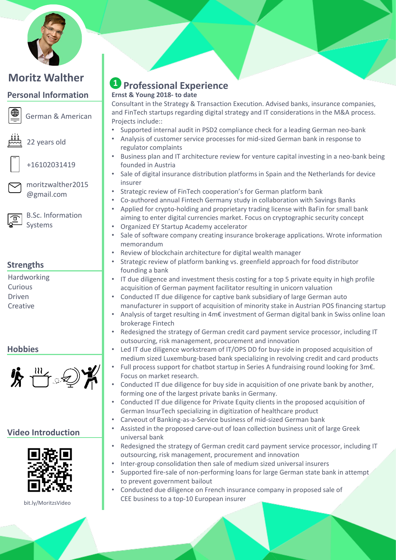

### **Personal Information**



German & American



22 years old

+16102031419

moritzwalther2015 @gmail.com



B.Sc. Information Systems

# **Strengths**

Hardworking Curious Driven **Creative** 

## **Hobbies**



# **Video Introduction**



bit.ly/MoritzsVideo

# **A** Professional Experience **Ernst & Young 2018- to date**

Consultant in the Strategy & Transaction Execution. Advised banks, insurance companies, and FinTech startups regarding digital strategy and IT considerations in the M&A process. Projects include::

- Supported internal audit in PSD2 compliance check for a leading German neo-bank
- Analysis of customer service processes for mid-sized German bank in response to regulator complaints
- Business plan and IT architecture review for venture capital investing in a neo-bank being founded in Austria
- Sale of digital insurance distribution platforms in Spain and the Netherlands for device insurer
- Strategic review of FinTech cooperation's for German platform bank
- Co-authored annual Fintech Germany study in collaboration with Savings Banks
- Applied for crypto-holding and proprietary trading license with BaFin for small bank aiming to enter digital currencies market. Focus on cryptographic security concept
- Organized EY Startup Academy accelerator
- Sale of software company creating insurance brokerage applications. Wrote information memorandum
- Review of blockchain architecture for digital wealth manager
- Strategic review of platform banking vs. greenfield approach for food distributor founding a bank
- IT due diligence and investment thesis costing for a top 5 private equity in high profile acquisition of German payment facilitator resulting in unicorn valuation
- Conducted IT due diligence for captive bank subsidiary of large German auto manufacturer in support of acquisition of minority stake in Austrian POS financing startup
	- Analysis of target resulting in 4m€ investment of German digital bank in Swiss online loan brokerage Fintech
- Redesigned the strategy of German credit card payment service processor, including IT outsourcing, risk management, procurement and innovation
- Led IT due diligence workstream of IT/OPS DD for buy-side in proposed acquisition of medium sized Luxemburg-based bank specializing in revolving credit and card products
- Full process support for chatbot startup in Series A fundraising round looking for 3m€. Focus on market research.
- Conducted IT due diligence for buy side in acquisition of one private bank by another, forming one of the largest private banks in Germany.
- Conducted IT due diligence for Private Equity clients in the proposed acquisition of German InsurTech specializing in digitization of healthcare product
- Carveout of Banking-as-a-Service business of mid-sized German bank
- Assisted in the proposed carve-out of loan collection business unit of large Greek universal bank
- Redesigned the strategy of German credit card payment service processor, including IT outsourcing, risk management, procurement and innovation
- Inter-group consolidation then sale of medium sized universal insurers
- Supported fire-sale of non-performing loans for large German state bank in attempt to prevent government bailout
- Conducted due diligence on French insurance company in proposed sale of CEE business to a top-10 European insurer